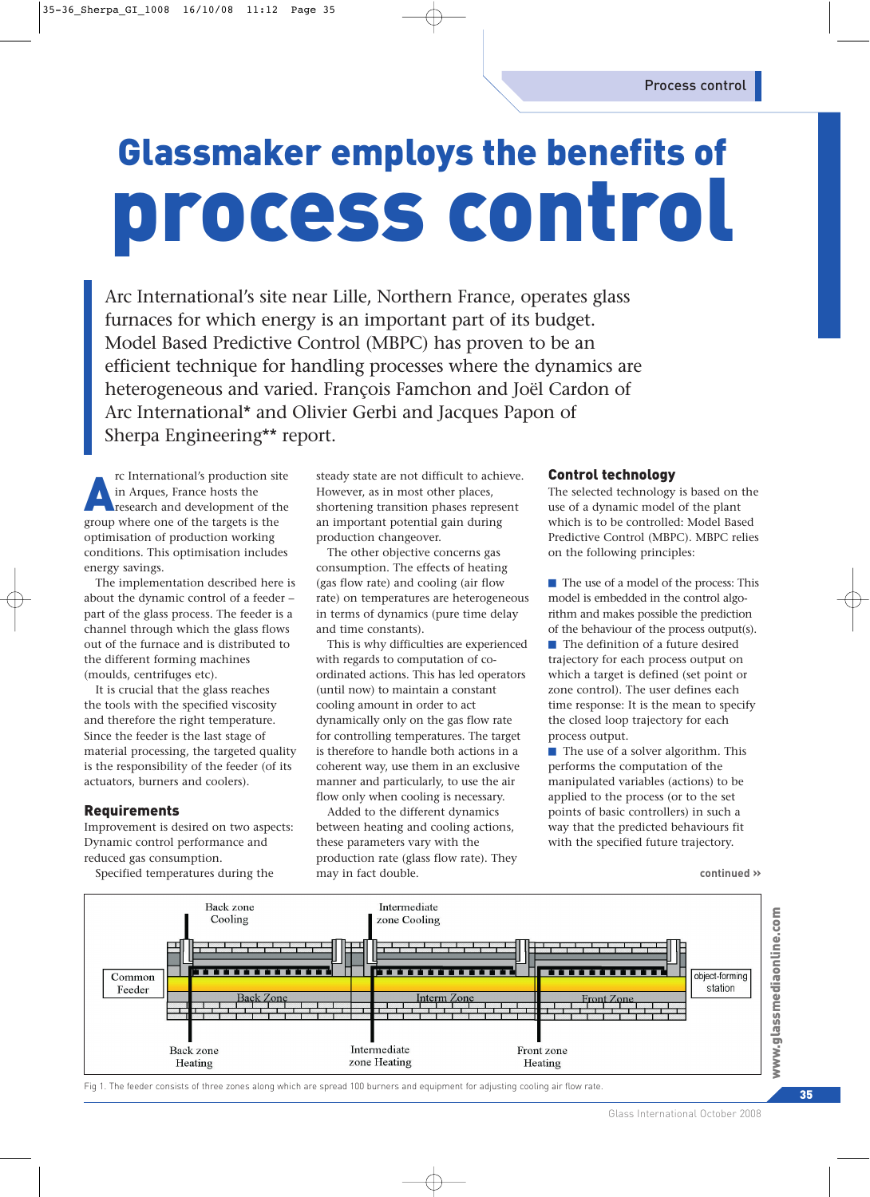# Glassmaker employs the benefits of process control

Arc International's site near Lille, Northern France, operates glass furnaces for which energy is an important part of its budget. Model Based Predictive Control (MBPC) has proven to be an efficient technique for handling processes where the dynamics are heterogeneous and varied. François Famchon and Joël Cardon of Arc International\* and Olivier Gerbi and Jacques Papon of Sherpa Engineering\*\* report.

rc International's production site<br>in Arques, France hosts the<br>research and development of the in Arques, France hosts the group where one of the targets is the optimisation of production working conditions. This optimisation includes energy savings.

The implementation described here is about the dynamic control of a feeder – part of the glass process. The feeder is a channel through which the glass flows out of the furnace and is distributed to the different forming machines (moulds, centrifuges etc).

It is crucial that the glass reaches the tools with the specified viscosity and therefore the right temperature. Since the feeder is the last stage of material processing, the targeted quality is the responsibility of the feeder (of its actuators, burners and coolers).

## **Requirements**

Improvement is desired on two aspects: Dynamic control performance and reduced gas consumption.

Specified temperatures during the

steady state are not difficult to achieve. However, as in most other places, shortening transition phases represent an important potential gain during production changeover.

The other objective concerns gas consumption. The effects of heating (gas flow rate) and cooling (air flow rate) on temperatures are heterogeneous in terms of dynamics (pure time delay and time constants).

This is why difficulties are experienced with regards to computation of coordinated actions. This has led operators (until now) to maintain a constant cooling amount in order to act dynamically only on the gas flow rate for controlling temperatures. The target is therefore to handle both actions in a coherent way, use them in an exclusive manner and particularly, to use the air flow only when cooling is necessary.

Added to the different dynamics between heating and cooling actions, these parameters vary with the production rate (glass flow rate). They may in fact double.

### Control technology

The selected technology is based on the use of a dynamic model of the plant which is to be controlled: Model Based Predictive Control (MBPC). MBPC relies on the following principles:

■ The use of a model of the process: This model is embedded in the control algorithm and makes possible the prediction of the behaviour of the process output(s).

■ The definition of a future desired trajectory for each process output on which a target is defined (set point or zone control). The user defines each time response: It is the mean to specify the closed loop trajectory for each process output.

 $\blacksquare$  The use of a solver algorithm. This performs the computation of the manipulated variables (actions) to be applied to the process (or to the set points of basic controllers) in such a way that the predicted behaviours fit with the specified future trajectory.

**continued »**



Glass International October 2008